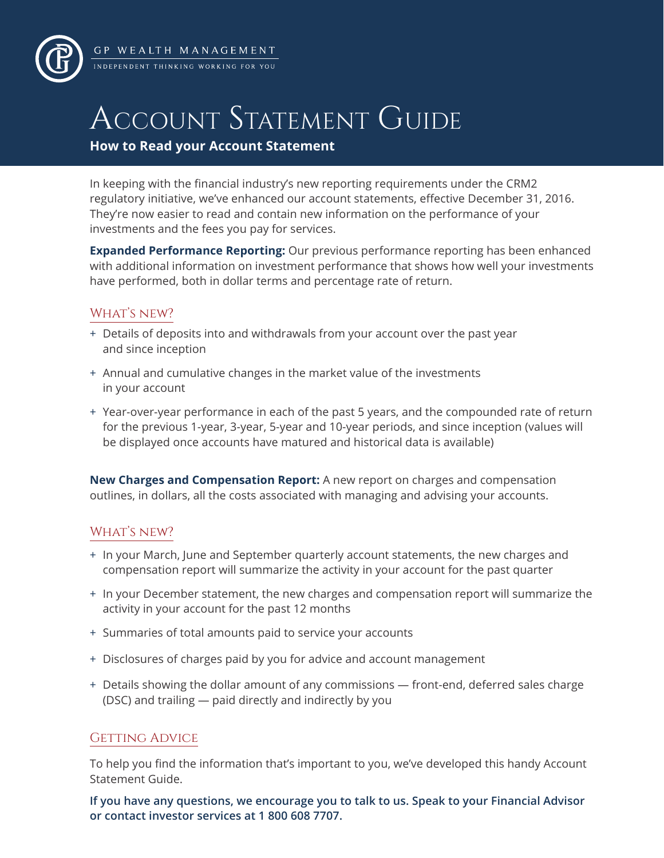

GP WEALTH MANAGEMENT .<br>INDEPENDENT THINKING WORKING FOR YOU

# ACCOUNT STATEMENT GUIDE

**How to Read your Account Statement**

In keeping with the financial industry's new reporting requirements under the CRM2 regulatory initiative, we've enhanced our account statements, effective December 31, 2016. They're now easier to read and contain new information on the performance of your investments and the fees you pay for services.

**Expanded Performance Reporting:** Our previous performance reporting has been enhanced with additional information on investment performance that shows how well your investments have performed, both in dollar terms and percentage rate of return.

# WHAT'S NEW?

- + Details of deposits into and withdrawals from your account over the past year and since inception
- + Annual and cumulative changes in the market value of the investments in your account
- + Year-over-year performance in each of the past 5 years, and the compounded rate of return for the previous 1-year, 3-year, 5-year and 10-year periods, and since inception (values will be displayed once accounts have matured and historical data is available)

**New Charges and Compensation Report:** A new report on charges and compensation outlines, in dollars, all the costs associated with managing and advising your accounts.

# WHAT'S NEW?

- + In your March, June and September quarterly account statements, the new charges and compensation report will summarize the activity in your account for the past quarter
- + In your December statement, the new charges and compensation report will summarize the activity in your account for the past 12 months
- + Summaries of total amounts paid to service your accounts
- + Disclosures of charges paid by you for advice and account management
- + Details showing the dollar amount of any commissions front-end, deferred sales charge (DSC) and trailing — paid directly and indirectly by you

# GETTING ADVICE

To help you find the information that's important to you, we've developed this handy Account Statement Guide.

**If you have any questions, we encourage you to talk to us. Speak to your Financial Advisor or contact investor services at 1 800 608 7707.**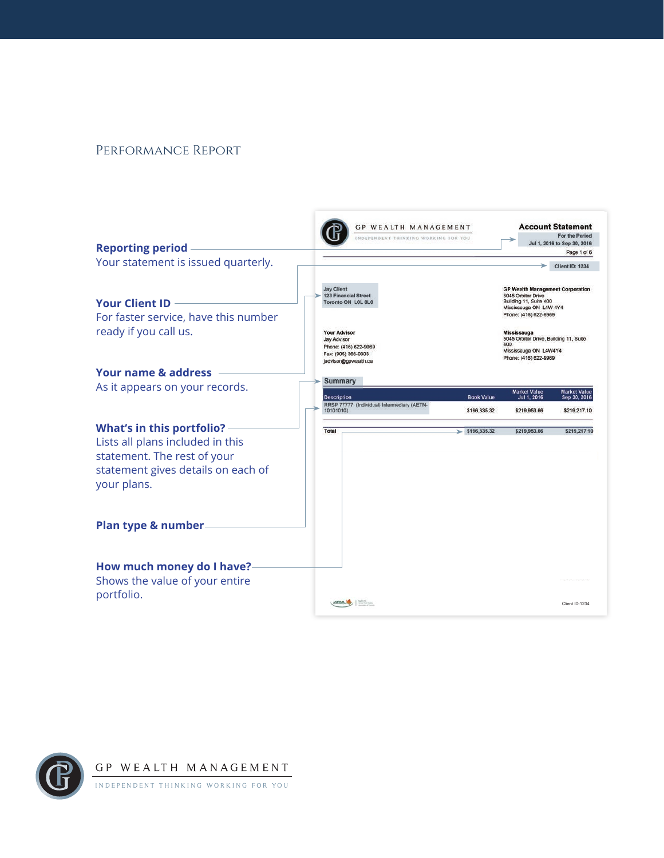### Performance Report



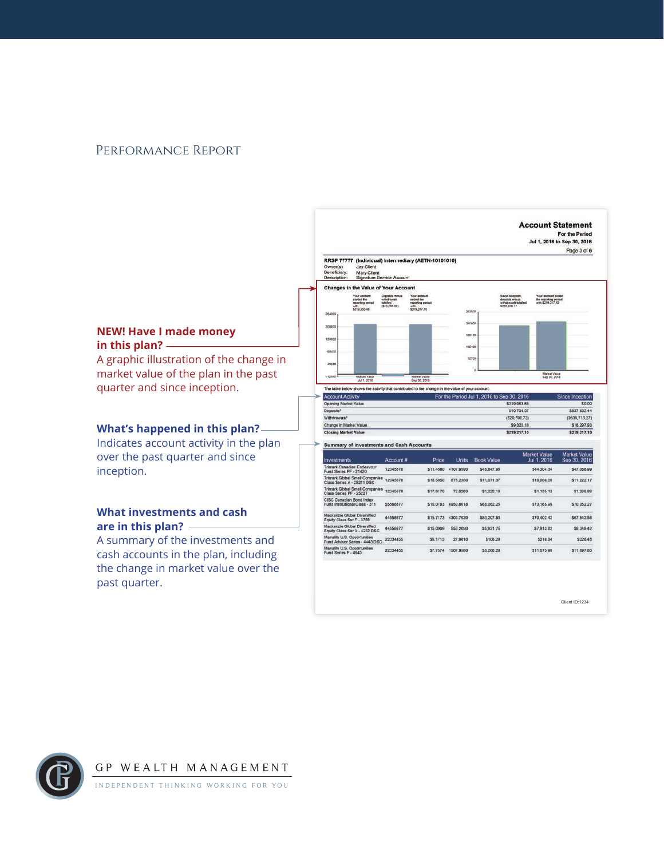### Performance Report

**in this plan?** 

inception.

past quarter.



Client ID:1234



GP WEALTH MANAGEMENT INDEPENDENT THINKING WORKING FOR YOU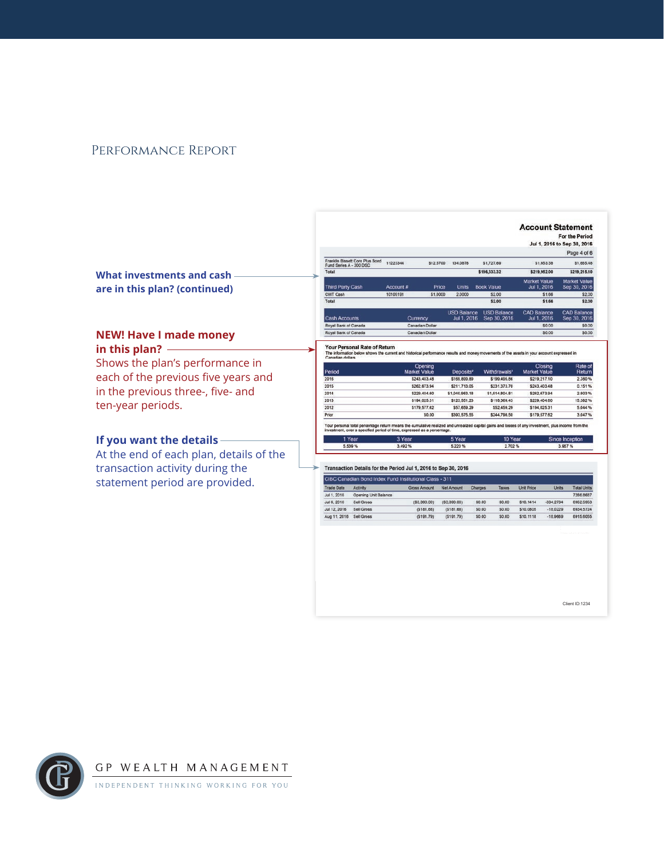### Performance Report

|  | What investments and cash –   |  |
|--|-------------------------------|--|
|  | are in this plan? (continued) |  |

### **NEW! Have I made money in this plan?**

Shows the plan's performance in each of the previous five years and in the previous three-, five- and ten-year periods.

### **If you want the details**

At the end of each plan, details of the transaction activity during the statement period are provided.

|                                                            |                 |           |                                   |                                    | <b>Account Statement</b>           | For the Period<br>Jul 1, 2016 to Sep 30, 2016 |
|------------------------------------------------------------|-----------------|-----------|-----------------------------------|------------------------------------|------------------------------------|-----------------------------------------------|
|                                                            |                 |           |                                   |                                    |                                    | Page 4 of 6                                   |
| Franklin Bissett Core Plus Bond<br>Fund Series A - 300 DSC | 11223344        | \$12,5700 | 134.0878                          | \$1,727.69                         | \$1,653.38                         | \$1,685.48                                    |
| Total                                                      |                 |           |                                   | \$196,333.32                       | \$219,952.00                       | \$219,215.10                                  |
| Third Party Cash                                           | Account #       | Price     | Units                             | <b>Book Value</b>                  | <b>Market Value</b><br>Jul 1, 2016 | <b>Market Value</b><br>Sep 30, 2016           |
| CWT Cash                                                   | 10105191        | \$1,0000  | 2,0000                            | \$2.00                             | \$1.66                             | \$2.00                                        |
| Total                                                      |                 |           |                                   | \$2.00                             | \$1.66                             | \$2.00                                        |
| <b>Cash Accounts</b>                                       | Currency        |           | <b>USD Balance</b><br>Jul 1, 2016 | <b>USD Balance</b><br>Sep 30, 2016 | <b>CAD Balance</b><br>Jul 1, 2016  | <b>CAD Balance</b><br>Sep 30, 2016            |
| Royal Bank of Canada                                       | Canadian Dollar |           |                                   |                                    | \$0.00                             | \$0.00                                        |
| Royal Bank of Canada                                       | Canadian Dollar |           |                                   |                                    | \$0.00                             | \$0.00                                        |

Your Personal Rate of Return<br>The information below shows the current and nts of the assets in your account expressed in its and money me

| Period | Opening<br><b>Market Value</b> | Deposits <sup>2</sup> | Withdrawals <sup>3</sup> | Closing<br><b>Market Value</b> | Rate of<br>Return |
|--------|--------------------------------|-----------------------|--------------------------|--------------------------------|-------------------|
| 2016   | \$243.403.48                   | \$169,899.89          | \$199,495.86             | \$219.217.10                   | 2,360 %           |
| 2015   | \$262,673.94                   | \$211,713.05          | \$231,373.70             | \$243,403.48                   | 0.151%            |
| 2014   | \$229,404.60                   | \$1,040.963.18        | \$1,014,804.81           | \$262,673.94                   | 2.903%            |
| 2013   | \$194.025.31                   | \$123,551.23          | \$118,369.43             | \$229,404.60                   | 15.382 %          |
| 2012   | \$179,577.62                   | \$57,659.29           | \$52,459.29              | \$194,025.31                   | 5.044 %           |
| Prior  | \$0.00                         | \$393.575.55          | \$244,798.50             | \$179,577.62                   | 3.047 %           |

d period of time, o ed as a p 10 Year ce Incer 5.220 %

2.702%

| i rear | э теаг |
|--------|--------|
| 5.539% | 3.492% |
|        |        |

Transaction Details for the Period Jul 1, 2016 to Sep 30, 2016

| CIBC Canadian Bond Index Fund Institutional Class - 311 |                      |               |               |         |              |                   |            |                    |
|---------------------------------------------------------|----------------------|---------------|---------------|---------|--------------|-------------------|------------|--------------------|
| <b>Trade Date</b>                                       | Activity             | Gross Amount  | Net Amount    | Charges | <b>Taxes</b> | <b>Unit Price</b> | Units      | <b>Total Units</b> |
| Jul 1, 2016                                             | Opening Unit Balance |               |               |         |              |                   |            | 7286.8687          |
| Jul 6, 2016                                             | Sell Gross           | ( \$3,390.00) | ( \$3,390,00) | \$0.00  | \$0.00       | \$10,1414         | -334.2734  | 6952 5953          |
| Jul 12, 2016                                            | Sell Gross           | ( \$181.68)   | (S181.68)     | \$0.00  | \$0.00       | \$10,0805         | $-18.0229$ | 6934.5724          |
| Aug 11, 2016                                            | Sell Gross           | (5191.79)     | (\$191.79)    | \$0.00  | \$0.00       | \$10,1118         | $-18.9669$ | 6915,6055          |

Client ID:1234

GP WEALTH MANAGEMENT INDEPENDENT THINKING WORKING FOR YOU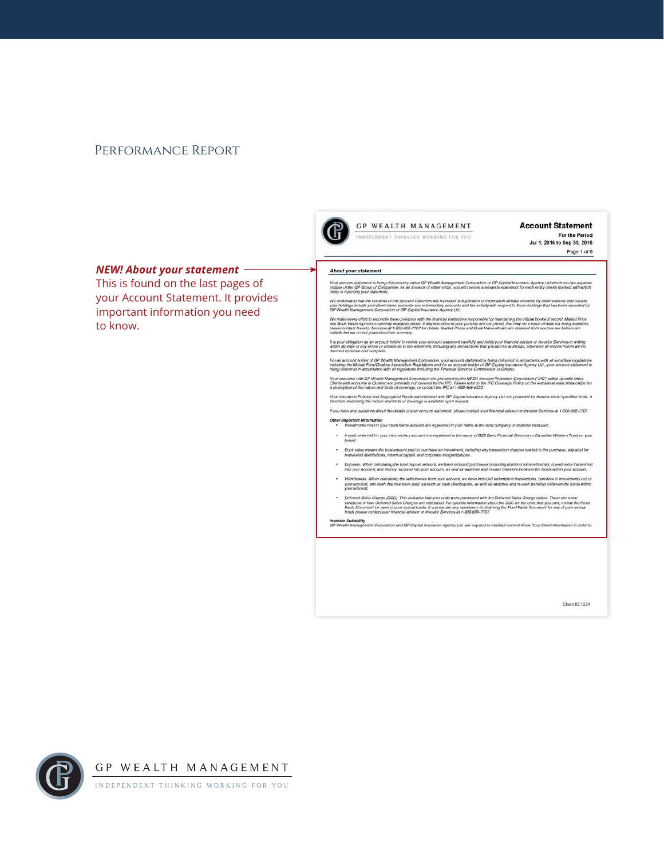### PERFORMANCE REPORT



#### **Account Statement**

For the Period Jul 1, 2016 to Sep 30, 2016 Page 1 of 6

### **NEW! About your statement -**

This is found on the last pages of your Account Statement. It provides important information you need to know.

#### About your statement

Your account statement is being delivered by either GP Wealth Management Corporation or GP Capital Insurance Agency Ltd which are two separate<br>entities of the GP Group of Companies. As an investor of either entity, you wil

We understand that the contents of this account statement will represent a duplication of information already received by other sources and reflects<br>your holdings in both your client name accounts and intermodiary accounts

We make every effort to reconcile these positions with the financial institutions responsible for maintaining the official books of record. Market Price<br>and Book Value represent currently wealteble prices. If any securitie

It is your obligation as an account holder to review your account statement carefully and notify your financial advisor or Investor Services in writing<br>Within 30 days of any emos or omissions to the statement, including an

For an account holder of GP Wealth Management Corporation, your account statement is being delivered in accordance with all securities regulations<br>Including the Mulual Fund Dealers Association Regulations and for an accoun

Your accounts with QP Wealth Management Corporation are protected by the MFDA Investor Protection Corporation (VPC) within specific limits.<br>Clients with accounts in Quibbec are generally not covered by the IPC. Please nete

Your Insurance Policies and Segregated Funds administered with GP Capital Insurance Agency Ltd. are protected by Assuris within specified limits. A<br>brochure describing the nature and limits of coverage is available upon re

If you have any questions about the details of your account statement, please contact your financial advisor or Investor Services at 1-800-608-7707.

Other important information<br>\*\*\*\*\* Investments held in your client name account are registered in your name at the fund company or financial institution.

- .<br>Investments held in your intermediary account are registered in the name of B2B Bank Financial Services or Canadian Western Trust on your
- . Book value means the total amount paid to purchase an investment, including any transaction changes related to the purchase, adjusted for<br>relayested distributions, return of capital, and corporate reorganizations.
- \* Deposits: When calculating the total deposit amount, we have included purchases (including dividend reinvestments), investments transforred<br>into your account, and money received into your account, as well as switches and
- Withdrawals: When calculating the withdrawals from your account, we have included redemption transactions, transfers of investments out of<br>your account, and cash that has been paid out such as cash distributions, as well
- Deternet Sales Charge (DSC): This indicates that your units were purchased with the Deferred Sales Charge option. There are some<br>variations in how Deferred Sales Charges are calculated. For specific information about the

Investor Suitability<br>GP Wealth Management Corporation and GP Capital Insurance Agency Ltd. are required to maintain current Know Your Client Information in order to

Client ID:1234



GP WEALTH MANAGEMENT

INDEPENDENT THINKING WORKING FOR YOU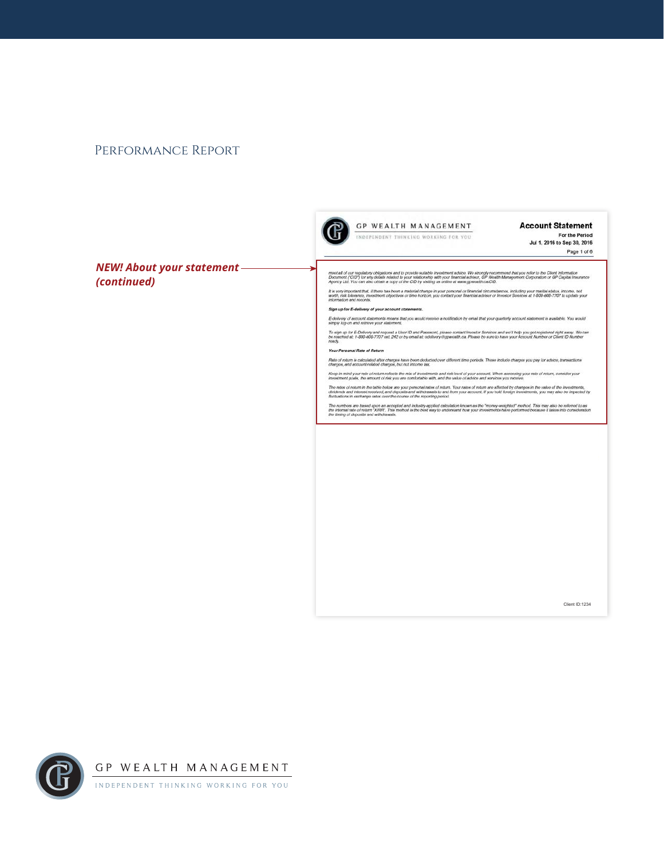### PERFORMANCE REPORT



#### **Account Statement**

For the Period Jul 1, 2016 to Sep 30, 2016 Page 1 of 6

**NEW! About your statement -**(continued)

meet all of our regulatory obligations and to provide suitable investment advice. We strongly recommend that you refer to the Client Information<br>Document ("CID") for any delais related to your relationship with your framch

**GP WEALTH MANAGEMENT** 

INDEPENDENT THINKING WORKING FOR YOU

It is very important that, if there has been a material change in your personal or financial circumstances, including your marital status, income, net<br>work, risk tokennoe, investment objectives or time horizon, you contact

### Sign up for E-delivery of your account statements.

E-delivery of account statements means that you would receive a notification by email that your quarterly account statement is available. You would<br>simply log-on and retrieve your statement.

To sign up for E-Delivery and request a User ID and Passeont, please contact Investor Services and we'll help you get registered right away. We can<br>be reached at: 1-800-600-7707 ext. 242 or by email at: edelivery@gnevalth.

#### Your Personal Rate of Return

Rate of return is calculated after changes have been deducted over different time periods. These include changes you pay for advice, transactions<br>changes, and account-related changes, but not income tax.

Keep in mind your rate of return reflects the mix of investments and risk level of your account. When assessing your rate of return, consider your<br>investment goals, the amount of risk you are comfortable with, and the valu

The rates of return in the table below are your personal rates of return. Your rates of return are affected by changes in the value of the investments,<br>dividends and interest received, and deposits and withdrawals to and f

The numbers are based upon an accepted and industry-applied calculation known as the "money-aveighted" mehod. This may also be referred to as<br>the internal rate of return "XIRR". This mediod is the best way to understand ho

Client ID:1234

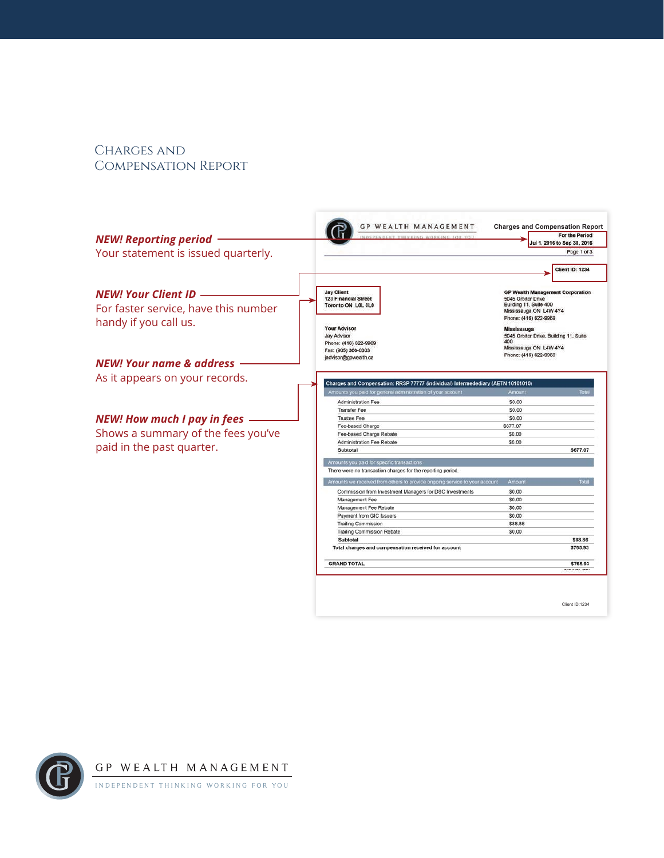## Charges and Compensation Report

|                                      | <b>GP WEALTH MANAGEMENT</b>                                                                               | <b>Charges and Compensation Report</b>                                                                                 |
|--------------------------------------|-----------------------------------------------------------------------------------------------------------|------------------------------------------------------------------------------------------------------------------------|
| <b>NEW! Reporting period</b>         | IDEPENDENT THENKING WORKING FOR YOU                                                                       | For the Period<br>Jul 1, 2016 to Sep 30, 2016                                                                          |
|                                      |                                                                                                           | Page 1 of 3                                                                                                            |
| Your statement is issued quarterly.  |                                                                                                           |                                                                                                                        |
|                                      |                                                                                                           | <b>Client ID: 1234</b>                                                                                                 |
| <b>NEW! Your Client ID</b>           | <b>Jay Client</b><br><b>123 Financial Street</b>                                                          | <b>GP Wealth Management Corporation</b><br>5045 Orbitor Drive                                                          |
| For faster service, have this number | Toronto ON LOL 0L0                                                                                        | Building 11, Suite 400<br>Mississauga ON L4W 4Y4<br>Phone: (416) 622-9969                                              |
| handy if you call us.                | <b>Your Advisor</b><br><b>Jay Advisor</b><br>Phone: (416) 622-9969<br>Fax: (905) 366-0303                 | <b>Mississauga</b><br>5045 Orbitor Drive, Building 11, Suite<br>400<br>Mississauga ON L4W 4Y4<br>Phone: (416) 622-9969 |
| <b>NEW! Your name &amp; address</b>  | jadvisor@gpwealth.ca                                                                                      |                                                                                                                        |
| As it appears on your records.       | Charges and Compensation: RRSP 77777 (individual) Intermedediary (AETN 10101010)                          |                                                                                                                        |
|                                      | Amounts you paid for general administration of your account                                               | Amount                                                                                                                 |
|                                      | Administration Fee                                                                                        | \$0.00                                                                                                                 |
|                                      | <b>Transfer Fee</b>                                                                                       | \$0.00                                                                                                                 |
| <b>NEW! How much I pay in fees</b>   | <b>Trustee Fee</b>                                                                                        | \$0.00                                                                                                                 |
| Shows a summary of the fees you've   | Fee-based Charge<br>Fee-based Charge Rebate                                                               | \$677.07<br>\$0.00                                                                                                     |
|                                      | Administration Fee Rebate                                                                                 | \$0.00                                                                                                                 |
| paid in the past quarter.            | Subtotal                                                                                                  | \$677.07                                                                                                               |
|                                      | Amounts you paid for specific transactions<br>There were no transaction charges for the reporting period. |                                                                                                                        |
|                                      |                                                                                                           |                                                                                                                        |
|                                      | Amounts we received from others to provide ongoing service to your account                                | Tota<br>Amount                                                                                                         |
|                                      | Commission from Investment Managers for DSC Investments<br>Management Fee                                 | \$0.00<br>\$0.00                                                                                                       |
|                                      | Management Fee Rebate                                                                                     | \$0,00                                                                                                                 |
|                                      | Payment from GIC Issuers                                                                                  | \$0.00                                                                                                                 |
|                                      | <b>Trailing Commission</b>                                                                                | \$88.86                                                                                                                |
|                                      | <b>Trailing Commission Rebate</b>                                                                         | \$0.00                                                                                                                 |
|                                      | Subtotal                                                                                                  | \$88.86                                                                                                                |
|                                      | Total charges and compensation received for account                                                       | \$765.93                                                                                                               |
|                                      | <b>GRAND TOTAL</b>                                                                                        | \$765.93                                                                                                               |
|                                      |                                                                                                           | Client ID:1234                                                                                                         |